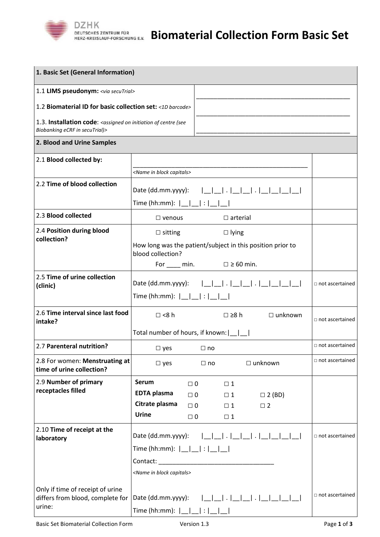

| 1. Basic Set (General Information)                                                                                            |                                                                                                                                                                                                                                                                            |          |           |             |                                                            |                        |  |
|-------------------------------------------------------------------------------------------------------------------------------|----------------------------------------------------------------------------------------------------------------------------------------------------------------------------------------------------------------------------------------------------------------------------|----------|-----------|-------------|------------------------------------------------------------|------------------------|--|
| 1.1 LIMS pseudonym: <via secutrial=""></via>                                                                                  |                                                                                                                                                                                                                                                                            |          |           |             |                                                            |                        |  |
| 1.2 Biomaterial ID for basic collection set: <1D barcode>                                                                     |                                                                                                                                                                                                                                                                            |          |           |             |                                                            |                        |  |
| 1.3. Installation code: <assigned (see<br="" centre="" initiation="" of="" on="">Biobanking eCRF in secuTrial)&gt;</assigned> |                                                                                                                                                                                                                                                                            |          |           |             |                                                            |                        |  |
| 2. Blood and Urine Samples                                                                                                    |                                                                                                                                                                                                                                                                            |          |           |             |                                                            |                        |  |
| 2.1 Blood collected by:                                                                                                       |                                                                                                                                                                                                                                                                            |          |           |             |                                                            |                        |  |
|                                                                                                                               | <name block="" capitals="" in=""></name>                                                                                                                                                                                                                                   |          |           |             |                                                            |                        |  |
| 2.2 Time of blood collection                                                                                                  | Time (hh:mm): $ $                                                                                                                                                                                                                                                          |          |           |             |                                                            |                        |  |
|                                                                                                                               |                                                                                                                                                                                                                                                                            |          |           |             |                                                            |                        |  |
| 2.3 Blood collected                                                                                                           | $\Box$ arterial<br>$\Box$ venous                                                                                                                                                                                                                                           |          |           |             |                                                            |                        |  |
| 2.4 Position during blood                                                                                                     | $\Box$ sitting<br>$\Box$ lying                                                                                                                                                                                                                                             |          |           |             |                                                            |                        |  |
| collection?                                                                                                                   |                                                                                                                                                                                                                                                                            |          |           |             | How long was the patient/subject in this position prior to |                        |  |
|                                                                                                                               | blood collection?                                                                                                                                                                                                                                                          |          |           |             |                                                            |                        |  |
|                                                                                                                               | For $\Box$ min. $\Box \geq 60$ min.                                                                                                                                                                                                                                        |          |           |             |                                                            |                        |  |
| 2.5 Time of urine collection<br>(clinic)                                                                                      | Date (dd.mm.yyyy): $ $                                                                                                                                                                                                                                                     |          |           |             |                                                            | $\Box$ not ascertained |  |
|                                                                                                                               | Time (hh:mm): $ $                                                                                                                                                                                                                                                          |          |           |             |                                                            |                        |  |
| 2.6 Time interval since last food<br>intake?                                                                                  | $\Box$ <8 h                                                                                                                                                                                                                                                                |          |           | □ ≥8 h      | $\Box$ unknown                                             | $\Box$ not ascertained |  |
|                                                                                                                               | Total number of hours, if known: $\lfloor$                                                                                                                                                                                                                                 |          |           |             |                                                            |                        |  |
| 2.7 Parenteral nutrition?                                                                                                     | $\Box$ yes<br>$\Box$ no                                                                                                                                                                                                                                                    |          |           |             |                                                            | $\Box$ not ascertained |  |
| 2.8 For women: Menstruating at<br>time of urine collection?                                                                   | $\square$ yes                                                                                                                                                                                                                                                              |          | $\Box$ no |             | $\Box$ unknown                                             | $\Box$ not ascertained |  |
| 2.9 Number of primary                                                                                                         | <b>Serum</b>                                                                                                                                                                                                                                                               | $\Box$ 0 |           | $\Box$ 1    |                                                            |                        |  |
| receptacles filled                                                                                                            | <b>EDTA</b> plasma                                                                                                                                                                                                                                                         | $\Box$ 0 |           | $\Box$ 1    | $\Box$ 2 (BD)                                              |                        |  |
|                                                                                                                               | Citrate plasma                                                                                                                                                                                                                                                             | $\Box$ 0 |           | $\Box$ 1    | $\square$ 2                                                |                        |  |
|                                                                                                                               | <b>Urine</b>                                                                                                                                                                                                                                                               | $\Box$ 0 |           | $\square$ 1 |                                                            |                        |  |
| 2.10 Time of receipt at the<br>laboratory                                                                                     | Date (dd.mm.yyyy):                                                                                                                                                                                                                                                         |          |           |             |                                                            | $\Box$ not ascertained |  |
|                                                                                                                               | Time (hh:mm): $ $                                                                                                                                                                                                                                                          |          |           |             |                                                            |                        |  |
|                                                                                                                               |                                                                                                                                                                                                                                                                            |          |           |             |                                                            |                        |  |
|                                                                                                                               | Contact: New York School School School School School School School School School School School School School School School School School School School School School School School School School School School School School S<br><name block="" capitals="" in=""></name> |          |           |             |                                                            |                        |  |
|                                                                                                                               |                                                                                                                                                                                                                                                                            |          |           |             |                                                            |                        |  |
| Only if time of receipt of urine<br>differs from blood, complete for                                                          | Date (dd.mm.yyyy):<br>11111                                                                                                                                                                                                                                                |          |           |             |                                                            | $\Box$ not ascertained |  |
| urine:                                                                                                                        | Time (hh:mm): $ $                                                                                                                                                                                                                                                          |          |           |             |                                                            |                        |  |